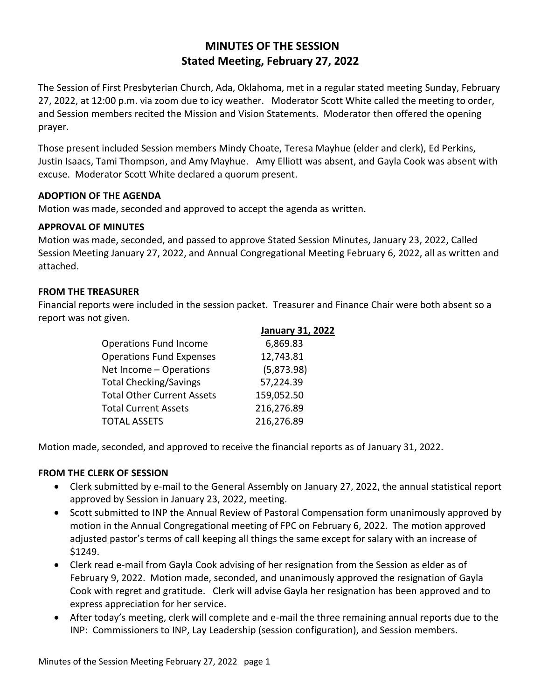# **MINUTES OF THE SESSION Stated Meeting, February 27, 2022**

The Session of First Presbyterian Church, Ada, Oklahoma, met in a regular stated meeting Sunday, February 27, 2022, at 12:00 p.m. via zoom due to icy weather. Moderator Scott White called the meeting to order, and Session members recited the Mission and Vision Statements. Moderator then offered the opening prayer.

Those present included Session members Mindy Choate, Teresa Mayhue (elder and clerk), Ed Perkins, Justin Isaacs, Tami Thompson, and Amy Mayhue. Amy Elliott was absent, and Gayla Cook was absent with excuse. Moderator Scott White declared a quorum present.

# **ADOPTION OF THE AGENDA**

Motion was made, seconded and approved to accept the agenda as written.

### **APPROVAL OF MINUTES**

Motion was made, seconded, and passed to approve Stated Session Minutes, January 23, 2022, Called Session Meeting January 27, 2022, and Annual Congregational Meeting February 6, 2022, all as written and attached.

### **FROM THE TREASURER**

Financial reports were included in the session packet. Treasurer and Finance Chair were both absent so a report was not given.

|                                   | <b>January 31, 2022</b> |
|-----------------------------------|-------------------------|
| <b>Operations Fund Income</b>     | 6,869.83                |
| <b>Operations Fund Expenses</b>   | 12,743.81               |
| Net Income - Operations           | (5,873.98)              |
| <b>Total Checking/Savings</b>     | 57,224.39               |
| <b>Total Other Current Assets</b> | 159,052.50              |
| <b>Total Current Assets</b>       | 216,276.89              |
| <b>TOTAL ASSETS</b>               | 216,276.89              |

Motion made, seconded, and approved to receive the financial reports as of January 31, 2022.

#### **FROM THE CLERK OF SESSION**

- Clerk submitted by e-mail to the General Assembly on January 27, 2022, the annual statistical report approved by Session in January 23, 2022, meeting.
- Scott submitted to INP the Annual Review of Pastoral Compensation form unanimously approved by motion in the Annual Congregational meeting of FPC on February 6, 2022. The motion approved adjusted pastor's terms of call keeping all things the same except for salary with an increase of \$1249.
- Clerk read e-mail from Gayla Cook advising of her resignation from the Session as elder as of February 9, 2022. Motion made, seconded, and unanimously approved the resignation of Gayla Cook with regret and gratitude. Clerk will advise Gayla her resignation has been approved and to express appreciation for her service.
- After today's meeting, clerk will complete and e-mail the three remaining annual reports due to the INP: Commissioners to INP, Lay Leadership (session configuration), and Session members.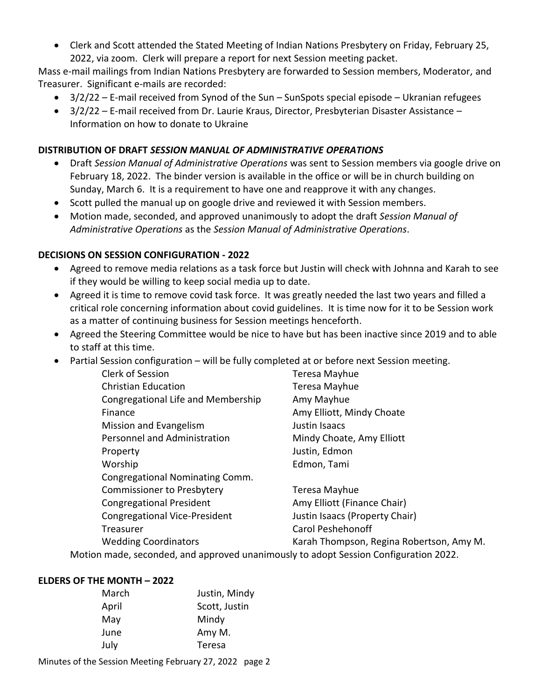Clerk and Scott attended the Stated Meeting of Indian Nations Presbytery on Friday, February 25, 2022, via zoom. Clerk will prepare a report for next Session meeting packet.

Mass e-mail mailings from Indian Nations Presbytery are forwarded to Session members, Moderator, and Treasurer. Significant e-mails are recorded:

- $\bullet$  3/2/22 E-mail received from Synod of the Sun SunSpots special episode Ukranian refugees
- 3/2/22 E-mail received from Dr. Laurie Kraus, Director, Presbyterian Disaster Assistance Information on how to donate to Ukraine

# **DISTRIBUTION OF DRAFT** *SESSION MANUAL OF ADMINISTRATIVE OPERATIONS*

- Draft *Session Manual of Administrative Operations* was sent to Session members via google drive on February 18, 2022. The binder version is available in the office or will be in church building on Sunday, March 6. It is a requirement to have one and reapprove it with any changes.
- Scott pulled the manual up on google drive and reviewed it with Session members.
- Motion made, seconded, and approved unanimously to adopt the draft *Session Manual of Administrative Operations* as the *Session Manual of Administrative Operations*.

# **DECISIONS ON SESSION CONFIGURATION - 2022**

- Agreed to remove media relations as a task force but Justin will check with Johnna and Karah to see if they would be willing to keep social media up to date.
- Agreed it is time to remove covid task force. It was greatly needed the last two years and filled a critical role concerning information about covid guidelines. It is time now for it to be Session work as a matter of continuing business for Session meetings henceforth.
- Agreed the Steering Committee would be nice to have but has been inactive since 2019 and to able to staff at this time.
- Partial Session configuration will be fully completed at or before next Session meeting.

| <b>Clerk of Session</b>                                              | Teresa Mayhue                            |  |
|----------------------------------------------------------------------|------------------------------------------|--|
| <b>Christian Education</b>                                           | Teresa Mayhue                            |  |
| Congregational Life and Membership                                   | Amy Mayhue                               |  |
| Finance                                                              | Amy Elliott, Mindy Choate                |  |
| Mission and Evangelism                                               | Justin Isaacs                            |  |
| Personnel and Administration                                         | Mindy Choate, Amy Elliott                |  |
| Property                                                             | Justin, Edmon                            |  |
| Worship                                                              | Edmon, Tami                              |  |
| Congregational Nominating Comm.                                      |                                          |  |
| <b>Commissioner to Presbytery</b>                                    | Teresa Mayhue                            |  |
| <b>Congregational President</b>                                      | Amy Elliott (Finance Chair)              |  |
| <b>Congregational Vice-President</b>                                 | Justin Isaacs (Property Chair)           |  |
| Treasurer                                                            | <b>Carol Peshehonoff</b>                 |  |
| <b>Wedding Coordinators</b>                                          | Karah Thompson, Regina Robertson, Amy M. |  |
| 002 recorded and approved unanimously to adont Session Configuration |                                          |  |

Motion made, seconded, and approved unanimously to adopt Session Configuration 2022.

# **ELDERS OF THE MONTH – 2022**

Minutes of the Session Meeting February 27, 2022 page 2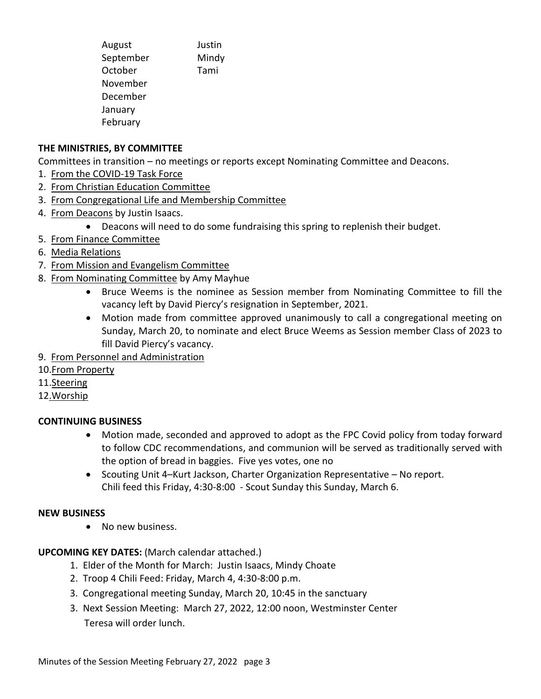| August    | Justin |
|-----------|--------|
| September | Mindy  |
| October   | Tami   |
| November  |        |
| December  |        |
| January   |        |
| February  |        |
|           |        |

# **THE MINISTRIES, BY COMMITTEE**

Committees in transition – no meetings or reports except Nominating Committee and Deacons.

- 1. From the COVID-19 Task Force
- 2. From Christian Education Committee
- 3. From Congregational Life and Membership Committee
- 4. From Deacons by Justin Isaacs.
	- Deacons will need to do some fundraising this spring to replenish their budget.
- 5. From Finance Committee
- 6. Media Relations
- 7. From Mission and Evangelism Committee
- 8. From Nominating Committee by Amy Mayhue
	- Bruce Weems is the nominee as Session member from Nominating Committee to fill the vacancy left by David Piercy's resignation in September, 2021.
	- Motion made from committee approved unanimously to call a congregational meeting on Sunday, March 20, to nominate and elect Bruce Weems as Session member Class of 2023 to fill David Piercy's vacancy.
- 9. From Personnel and Administration
- 10.From Property
- 11.Steering
- 12.Worship

# **CONTINUING BUSINESS**

- Motion made, seconded and approved to adopt as the FPC Covid policy from today forward to follow CDC recommendations, and communion will be served as traditionally served with the option of bread in baggies. Five yes votes, one no
- Scouting Unit 4–Kurt Jackson, Charter Organization Representative No report. Chili feed this Friday, 4:30-8:00 - Scout Sunday this Sunday, March 6.

#### **NEW BUSINESS**

• No new business.

**UPCOMING KEY DATES:** (March calendar attached.)

- 1. Elder of the Month for March: Justin Isaacs, Mindy Choate
- 2. Troop 4 Chili Feed: Friday, March 4, 4:30-8:00 p.m.
- 3. Congregational meeting Sunday, March 20, 10:45 in the sanctuary
- 3. Next Session Meeting: March 27, 2022, 12:00 noon, Westminster Center Teresa will order lunch.